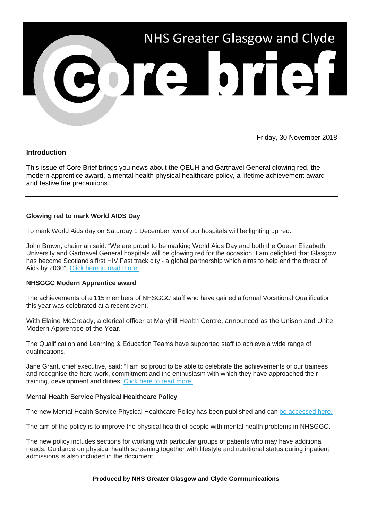

Friday, 30 November 2018

# **Introduction**

This issue of Core Brief brings you news about the QEUH and Gartnavel General glowing red, the modern apprentice award, a mental health physical healthcare policy, a lifetime achievement award and festive fire precautions.

# **Glowing red to mark World AIDS Day**

To mark World Aids day on Saturday 1 December two of our hospitals will be lighting up red.

John Brown, chairman said: "We are proud to be marking World Aids Day and both the Queen Elizabeth University and Gartnavel General hospitals will be glowing red for the occasion. I am delighted that Glasgow has become Scotland's first HIV Fast track city - a global partnership which aims to help end the threat of Aids by 2030". [Click here to read more.](https://nhsggc.us12.list-manage.com/track/click?u=0f385b5aea37eaf0213bd19fb&id=0116d4009e&e=5af5e1832c)

## **NHSGGC Modern Apprentice award**

The achievements of a 115 members of NHSGGC staff who have gained a formal Vocational Qualification this year was celebrated at a recent event.

With Elaine McCready, a clerical officer at Maryhill Health Centre, announced as the Unison and Unite Modern Apprentice of the Year.

The Qualification and Learning & Education Teams have supported staff to achieve a wide range of qualifications.

Jane Grant, chief executive, said: "I am so proud to be able to celebrate the achievements of our trainees and recognise the hard work, commitment and the enthusiasm with which they have approached their training, development and duties. [Click here to read more.](https://nhsggc.us12.list-manage.com/track/click?u=0f385b5aea37eaf0213bd19fb&id=30517646a4&e=5af5e1832c)

## Mental Health Service Physical Healthcare Policy

The new Mental Health Service Physical Healthcare Policy has been published and can [be accessed here.](https://nhsggc.us12.list-manage.com/track/click?u=0f385b5aea37eaf0213bd19fb&id=14b48cf6fc&e=5af5e1832c)

The aim of the policy is to improve the physical health of people with mental health problems in NHSGGC.

The new policy includes sections for working with particular groups of patients who may have additional needs. Guidance on physical health screening together with lifestyle and nutritional status during inpatient admissions is also included in the document.

## **Produced by NHS Greater Glasgow and Clyde Communications**